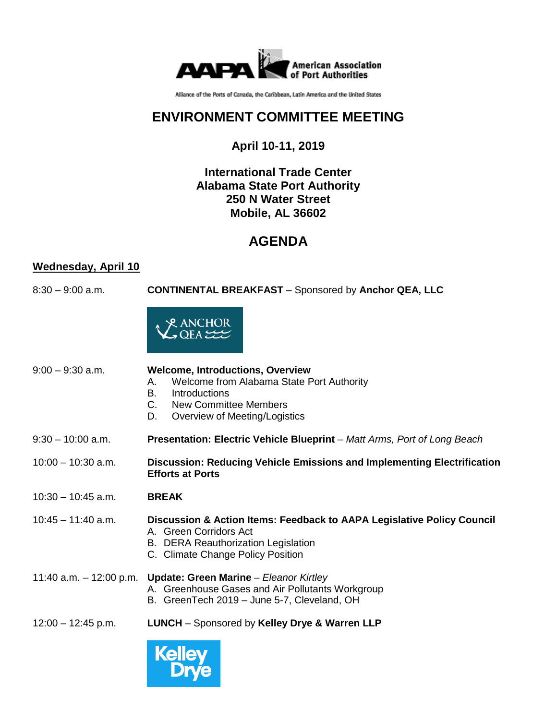

Alliance of the Ports of Canada, the Caribbean, Latin America and the United States

# **ENVIRONMENT COMMITTEE MEETING**

## **April 10-11, 2019**

#### **International Trade Center Alabama State Port Authority 250 N Water Street Mobile, AL 36602**

## **AGENDA**

### **Wednesday, April 10**

8:30 – 9:00 a.m. **CONTINENTAL BREAKFAST** – Sponsored by **Anchor QEA, LLC**



| $9:00 - 9:30$ a.m.      | <b>Welcome, Introductions, Overview</b><br>Welcome from Alabama State Port Authority<br>А.<br>Introductions<br>В.<br><b>New Committee Members</b><br>C.<br>Overview of Meeting/Logistics<br>D. |
|-------------------------|------------------------------------------------------------------------------------------------------------------------------------------------------------------------------------------------|
| $9:30 - 10:00$ a.m.     | <b>Presentation: Electric Vehicle Blueprint</b> – Matt Arms, Port of Long Beach                                                                                                                |
| $10:00 - 10:30$ a.m.    | Discussion: Reducing Vehicle Emissions and Implementing Electrification<br><b>Efforts at Ports</b>                                                                                             |
| $10:30 - 10:45$ a.m.    | <b>BREAK</b>                                                                                                                                                                                   |
| $10:45 - 11:40$ a.m.    | Discussion & Action Items: Feedback to AAPA Legislative Policy Council<br>A. Green Corridors Act<br><b>B. DERA Reauthorization Legislation</b><br>C. Climate Change Policy Position            |
| 11:40 a.m. – 12:00 p.m. | Update: Green Marine - Eleanor Kirtley<br>A. Greenhouse Gases and Air Pollutants Workgroup<br>B. GreenTech 2019 – June 5-7, Cleveland, OH                                                      |

12:00 – 12:45 p.m. **LUNCH** – Sponsored by **Kelley Drye & Warren LLP**